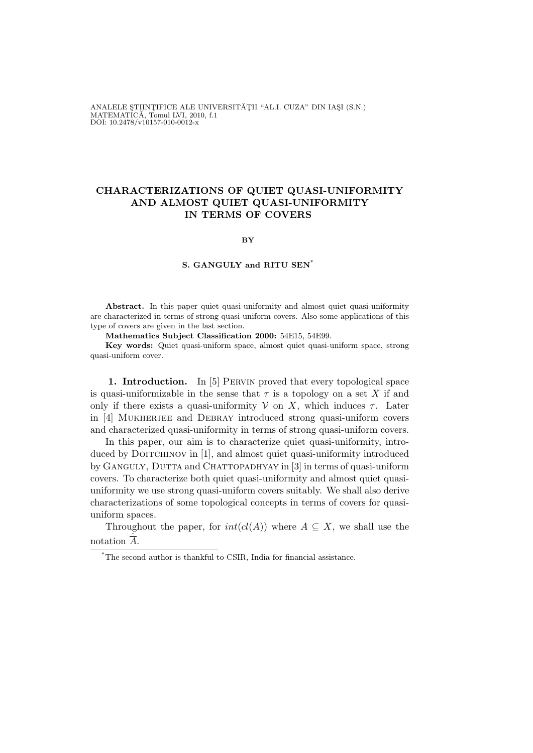ANALELE ȘTIINȚIFICE ALE UNIVERSITĂȚII "AL.I. CUZA" DIN IAȘI (S.N.) MATEMATICĂ, Tomul LVI, 2010, f.1<br>DOI: 10.2478/v10157-010-0012-x

## CHARACTERIZATIONS OF QUIET QUASI-UNIFORMITY AND ALMOST QUIET QUASI-UNIFORMITY IN TERMS OF COVERS

BY

## S. GANGULY and RITU SEN\*

Abstract. In this paper quiet quasi-uniformity and almost quiet quasi-uniformity are characterized in terms of strong quasi-uniform covers. Also some applications of this type of covers are given in the last section.

Mathematics Subject Classification 2000: 54E15, 54E99.

Key words: Quiet quasi-uniform space, almost quiet quasi-uniform space, strong quasi-uniform cover.

1. Introduction. In [5] Pervin proved that every topological space is quasi-uniformizable in the sense that  $\tau$  is a topology on a set X if and only if there exists a quasi-uniformity  $V$  on X, which induces  $\tau$ . Later in [4] MUKHERJEE and DEBRAY introduced strong quasi-uniform covers and characterized quasi-uniformity in terms of strong quasi-uniform covers.

In this paper, our aim is to characterize quiet quasi-uniformity, introduced by DOITCHINOV in [1], and almost quiet quasi-uniformity introduced by GANGULY, DUTTA and CHATTOPADHYAY in [3] in terms of quasi-uniform covers. To characterize both quiet quasi-uniformity and almost quiet quasiuniformity we use strong quasi-uniform covers suitably. We shall also derive characterizations of some topological concepts in terms of covers for quasiuniform spaces.

Throughout the paper, for  $int(cl(A))$  where  $A \subseteq X$ , we shall use the notation  $\overline{A}$ .

<sup>\*</sup>The second author is thankful to CSIR, India for financial assistance.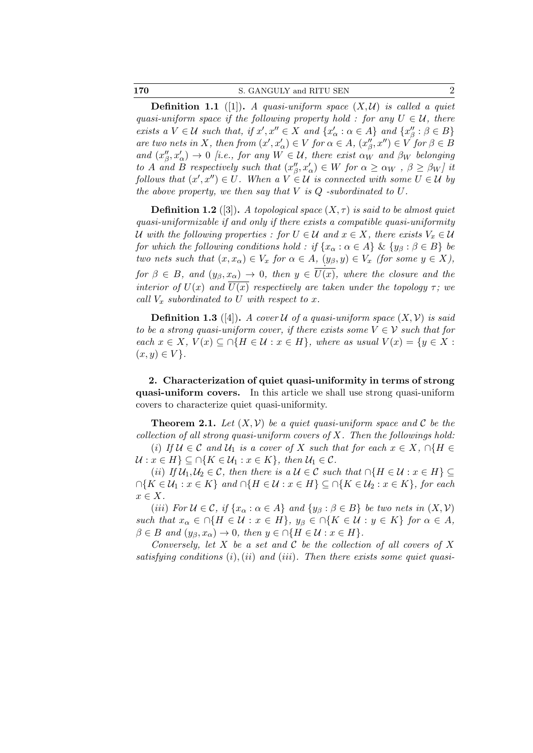| 170 | S. GANGULY and RITU SEN |  |
|-----|-------------------------|--|
|     |                         |  |

**Definition 1.1** ([1]). A quasi-uniform space  $(X, \mathcal{U})$  is called a quiet quasi-uniform space if the following property hold : for any  $U \in \mathcal{U}$ , there exists a  $V \in \mathcal{U}$  such that, if  $x', x'' \in X$  and  $\{x'_\alpha : \alpha \in A\}$  and  $\{x''_\beta\}$  $''_{\beta}$ :  $\beta \in B$ } are two nets in X, then from  $(x', x'_\alpha) \in V$  for  $\alpha \in A$ ,  $(x''_\beta)$  $\mu(\beta, x'') \in V$  for  $\beta \in B$ and  $(x''_{\beta})$  $\beta'_{\beta}, x'_{\alpha}$   $\rightarrow$  0 [i.e., for any  $W \in \mathcal{U}$ , there exist  $\alpha_W$  and  $\beta_W$  belonging to A and B respectively such that  $(x''_0)$  $\beta', x'_\alpha$ )  $\in W$  for  $\alpha \ge \alpha_W$ ,  $\beta \ge \beta_W$ ] it follows that  $(x',x'') \in U$ . When a  $V \in \mathcal{U}$  is connected with some  $U \in \mathcal{U}$  by the above property, we then say that  $V$  is  $Q$  -subordinated to  $U$ .

**Definition 1.2** ([3]). A topological space  $(X, \tau)$  is said to be almost quiet quasi-uniformizable if and only if there exists a compatible quasi-uniformity U with the following properties : for  $U \in \mathcal{U}$  and  $x \in X$ , there exists  $V_x \in \mathcal{U}$ for which the following conditions hold : if  $\{x_\alpha : \alpha \in A\}$  &  $\{y_\beta : \beta \in B\}$  be two nets such that  $(x, x_{\alpha}) \in V_x$  for  $\alpha \in A$ ,  $(y_{\beta}, y) \in V_x$  (for some  $y \in X$ ), for  $\beta \in B$ , and  $(y_{\beta}, x_{\alpha}) \to 0$ , then  $y \in \overline{U(x)}$ , where the closure and the interior of  $U(x)$  and  $U(x)$  respectively are taken under the topology  $\tau$ ; we call  $V_x$  subordinated to U with respect to x.

**Definition 1.3** ([4]). A cover U of a quasi-uniform space  $(X, V)$  is said to be a strong quasi-uniform cover, if there exists some  $V \in \mathcal{V}$  such that for each  $x \in X$ ,  $V(x) \subseteq \bigcap \{H \in \mathcal{U} : x \in H\}$ , where as usual  $V(x) = \{y \in X :$  $(x, y) \in V$ .

2. Characterization of quiet quasi-uniformity in terms of strong quasi-uniform covers. In this article we shall use strong quasi-uniform covers to characterize quiet quasi-uniformity.

**Theorem 2.1.** Let  $(X, V)$  be a quiet quasi-uniform space and C be the collection of all strong quasi-uniform covers of  $X$ . Then the followings hold: (i) If  $\mathcal{U} \in \mathcal{C}$  and  $\mathcal{U}_1$  is a cover of X such that for each  $x \in X$ ,  $\cap \{H \in$ 

 $\mathcal{U}: x \in H$   $\subseteq \bigcap \{K \in \mathcal{U}_1 : x \in K\}$ , then  $\mathcal{U}_1 \in \mathcal{C}$ . (ii) If  $\mathcal{U}_1, \mathcal{U}_2 \in \mathcal{C}$ , then there is a  $\mathcal{U} \in \mathcal{C}$  such that  $\cap \{H \in \mathcal{U} : x \in H\} \subseteq$ 

 $\bigcap\{K\in\mathcal{U}_1: x\in K\}$  and  $\bigcap\{H\in\mathcal{U}: x\in H\}\subseteq\bigcap\{K\in\mathcal{U}_2: x\in K\}$ , for each  $x \in X$ .

(iii) For  $\mathcal{U} \in \mathcal{C}$ , if  $\{x_\alpha : \alpha \in A\}$  and  $\{y_\beta : \beta \in B\}$  be two nets in  $(X, \mathcal{V})$ such that  $x_{\alpha} \in \cap \{H \in \mathcal{U} : x \in H\}$ ,  $y_{\beta} \in \cap \{K \in \mathcal{U} : y \in K\}$  for  $\alpha \in A$ ,  $\beta \in B$  and  $(y_{\beta}, x_{\alpha}) \to 0$ , then  $y \in \bigcap \{H \in \mathcal{U} : x \in H\}.$ 

Conversely, let X be a set and C be the collection of all covers of X satisfying conditions  $(i)$ ,  $(ii)$  and  $(iii)$ . Then there exists some quiet quasi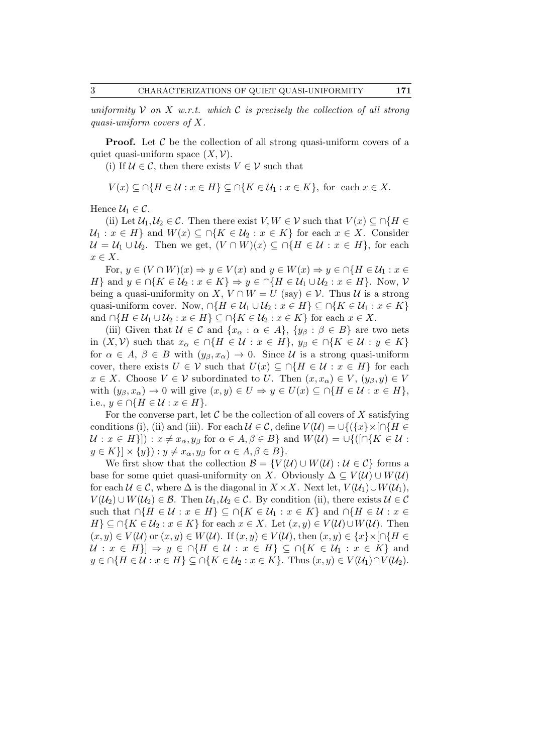uniformity  $V$  on  $X$  w.r.t. which  $C$  is precisely the collection of all strong quasi-uniform covers of X.

**Proof.** Let  $\mathcal C$  be the collection of all strong quasi-uniform covers of a quiet quasi-uniform space  $(X, V)$ .

(i) If  $U \in \mathcal{C}$ , then there exists  $V \in \mathcal{V}$  such that

$$
V(x) \subseteq \bigcap \{ H \in \mathcal{U} : x \in H \} \subseteq \bigcap \{ K \in \mathcal{U}_1 : x \in K \}, \text{ for each } x \in X.
$$

Hence  $\mathcal{U}_1 \in \mathcal{C}$ .

(ii) Let  $\mathcal{U}_1, \mathcal{U}_2 \in \mathcal{C}$ . Then there exist  $V, W \in \mathcal{V}$  such that  $V(x) \subseteq \bigcap \{H \in$  $\mathcal{U}_1 : x \in H$  and  $W(x) \subseteq \bigcap \{K \in \mathcal{U}_2 : x \in K\}$  for each  $x \in X$ . Consider  $\mathcal{U} = \mathcal{U}_1 \cup \mathcal{U}_2$ . Then we get,  $(V \cap W)(x) \subseteq \cap \{H \in \mathcal{U} : x \in H\}$ , for each  $x \in X$ .

For,  $y \in (V \cap W)(x) \Rightarrow y \in V(x)$  and  $y \in W(x) \Rightarrow y \in \bigcap \{H \in \mathcal{U}_1 : x \in$ H} and  $y \in \bigcap \{K \in \mathcal{U}_2 : x \in K\} \Rightarrow y \in \bigcap \{H \in \mathcal{U}_1 \cup \mathcal{U}_2 : x \in H\}$ . Now, V being a quasi-uniformity on X,  $V \cap W = U$  (say)  $\in \mathcal{V}$ . Thus U is a strong quasi-uniform cover. Now,  $\cap\{H \in \mathcal{U}_1 \cup \mathcal{U}_2 : x \in H\} \subseteq \cap\{K \in \mathcal{U}_1 : x \in K\}$ and  $\cap \{H \in \mathcal{U}_1 \cup \mathcal{U}_2 : x \in H\} \subseteq \cap \{K \in \mathcal{U}_2 : x \in K\}$  for each  $x \in X$ .

(iii) Given that  $U \in \mathcal{C}$  and  $\{x_\alpha : \alpha \in A\}$ ,  $\{y_\beta : \beta \in B\}$  are two nets in  $(X, V)$  such that  $x_{\alpha} \in \bigcap \{H \in \mathcal{U} : x \in H\}$ ,  $y_{\beta} \in \bigcap \{K \in \mathcal{U} : y \in K\}$ for  $\alpha \in A, \beta \in B$  with  $(y_{\beta}, x_{\alpha}) \to 0$ . Since U is a strong quasi-uniform cover, there exists  $U \in \mathcal{V}$  such that  $U(x) \subseteq \cap \{H \in \mathcal{U} : x \in H\}$  for each  $x \in X$ . Choose  $V \in V$  subordinated to U. Then  $(x, x_{\alpha}) \in V$ ,  $(y_{\beta}, y) \in V$ with  $(y_\beta, x_\alpha) \to 0$  will give  $(x, y) \in U \Rightarrow y \in U(x) \subseteq \bigcap \{H \in \mathcal{U} : x \in H\},\$ i.e.,  $y \in \bigcap \{H \in \mathcal{U} : x \in H\}.$ 

For the converse part, let  $\mathcal C$  be the collection of all covers of  $X$  satisfying conditions (i), (ii) and (iii). For each  $\mathcal{U} \in \mathcal{C}$ , define  $V(\mathcal{U}) = \bigcup \{ \{x\} \times [ \cap \{H \in$  $\mathcal{U}: x \in H$ ]) :  $x \neq x_\alpha, y_\beta$  for  $\alpha \in A, \beta \in B$ } and  $W(\mathcal{U}) = \cup \{([\cap \{K \in \mathcal{U}:$  $y \in K\{\mathbb{R}\}\times\{y\}: y \neq x_\alpha, y_\beta \text{ for } \alpha \in A, \beta \in B\}.$ 

We first show that the collection  $\mathcal{B} = \{V(\mathcal{U}) \cup W(\mathcal{U}) : \mathcal{U} \in \mathcal{C}\}\)$  forms a base for some quiet quasi-uniformity on X. Obviously  $\Delta \subseteq V(\mathcal{U}) \cup W(\mathcal{U})$ for each  $\mathcal{U} \in \mathcal{C}$ , where  $\Delta$  is the diagonal in  $X \times X$ . Next let,  $V(\mathcal{U}_1) \cup W(\mathcal{U}_1)$ ,  $V(\mathcal{U}_2) \cup W(\mathcal{U}_2) \in \mathcal{B}$ . Then  $\mathcal{U}_1, \mathcal{U}_2 \in \mathcal{C}$ . By condition (ii), there exists  $\mathcal{U} \in \mathcal{C}$ such that  $\cap \{H \in \mathcal{U} : x \in H\} \subseteq \cap \{K \in \mathcal{U}_1 : x \in K\}$  and  $\cap \{H \in \mathcal{U} : x \in$  $H \subseteq \bigcap \{K \in \mathcal{U}_2 : x \in K\}$  for each  $x \in X$ . Let  $(x, y) \in V(\mathcal{U}) \cup W(\mathcal{U})$ . Then  $(x, y) \in V(\mathcal{U})$  or  $(x, y) \in W(\mathcal{U})$ . If  $(x, y) \in V(\mathcal{U})$ , then  $(x, y) \in \{x\} \times [0, H \in$  $\mathcal{U}: x \in H\} \Rightarrow y \in \cap \{H \in \mathcal{U}: x \in H\} \subseteq \cap \{K \in \mathcal{U}_1: x \in K\}$  and  $y \in \bigcap \{H \in \mathcal{U} : x \in H\} \subseteq \bigcap \{K \in \mathcal{U}_2 : x \in K\}.$  Thus  $(x, y) \in V(\mathcal{U}_1) \cap V(\mathcal{U}_2).$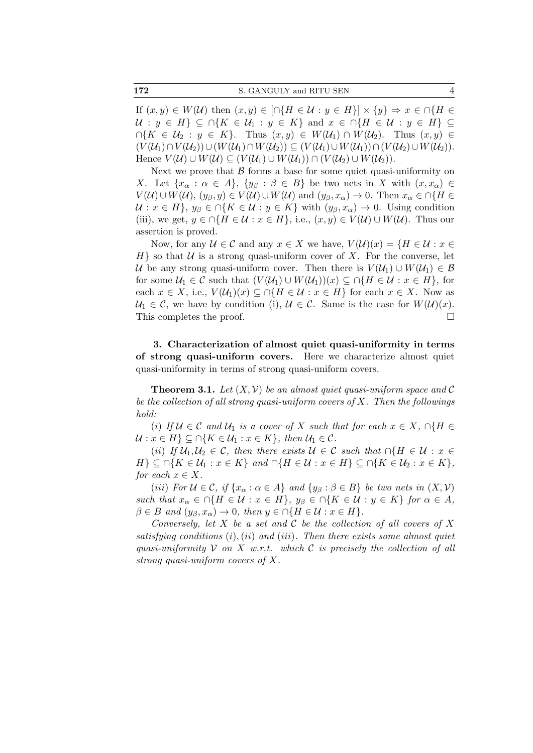172 S. GANGULY and RITU SEN 4

If  $(x, y) \in W(\mathcal{U})$  then  $(x, y) \in \left[\cap\{H \in \mathcal{U} : y \in H\}\right] \times \{y\} \Rightarrow x \in \cap\{H \in \mathcal{U}\}$  $\mathcal{U}: y \in H$   $\subseteq \cap \{K \in \mathcal{U}: y \in K\}$  and  $x \in \cap \{H \in \mathcal{U}: y \in H\}$  $\bigcap\{K \in \mathcal{U}_2 : y \in K\}.$  Thus  $(x, y) \in W(\mathcal{U}_1) \cap W(\mathcal{U}_2)$ . Thus  $(x, y) \in$  $(V(\mathcal{U}_1)\cap V(\mathcal{U}_2))\cup (W(\mathcal{U}_1)\cap W(\mathcal{U}_2))\subseteq (V(\mathcal{U}_1)\cup W(\mathcal{U}_1))\cap (V(\mathcal{U}_2)\cup W(\mathcal{U}_2)).$ Hence  $V(\mathcal{U}) \cup W(\mathcal{U}) \subseteq (V(\mathcal{U}_1) \cup W(\mathcal{U}_1)) \cap (V(\mathcal{U}_2) \cup W(\mathcal{U}_2)).$ 

Next we prove that  $\beta$  forms a base for some quiet quasi-uniformity on X. Let  $\{x_\alpha : \alpha \in A\}$ ,  $\{y_\beta : \beta \in B\}$  be two nets in X with  $(x, x_\alpha) \in$  $V(\mathcal{U}) \cup W(\mathcal{U}), (y_{\beta}, y) \in V(\mathcal{U}) \cup W(\mathcal{U})$  and  $(y_{\beta}, x_{\alpha}) \to 0$ . Then  $x_{\alpha} \in \bigcap \{H \in$  $U: x \in H$ ,  $y_{\beta} \in \bigcap \{K \in \mathcal{U}: y \in K\}$  with  $(y_{\beta}, x_{\alpha}) \to 0$ . Using condition (iii), we get,  $y \in \bigcap \{H \in \mathcal{U} : x \in H\}$ , i.e.,  $(x, y) \in V(\mathcal{U}) \cup W(\mathcal{U})$ . Thus our assertion is proved.

Now, for any  $\mathcal{U} \in \mathcal{C}$  and any  $x \in X$  we have,  $V(\mathcal{U})(x) = \{H \in \mathcal{U} : x \in \mathcal{U}\}$  $H$ } so that  $U$  is a strong quasi-uniform cover of X. For the converse, let U be any strong quasi-uniform cover. Then there is  $V(\mathcal{U}_1) \cup W(\mathcal{U}_1) \in \mathcal{B}$ for some  $U_1 \in \mathcal{C}$  such that  $(V(\mathcal{U}_1) \cup W(\mathcal{U}_1))(x) \subseteq \cap \{H \in \mathcal{U} : x \in H\}$ , for each  $x \in X$ , i.e.,  $V(\mathcal{U}_1)(x) \subseteq \bigcap \{H \in \mathcal{U} : x \in H\}$  for each  $x \in X$ . Now as  $U_1 \in \mathcal{C}$ , we have by condition (i),  $\mathcal{U} \in \mathcal{C}$ . Same is the case for  $W(\mathcal{U})(x)$ . This completes the proof.

3. Characterization of almost quiet quasi-uniformity in terms of strong quasi-uniform covers. Here we characterize almost quiet quasi-uniformity in terms of strong quasi-uniform covers.

**Theorem 3.1.** Let  $(X, V)$  be an almost quiet quasi-uniform space and C be the collection of all strong quasi-uniform covers of  $X$ . Then the followings hold:

(i) If  $\mathcal{U} \in \mathcal{C}$  and  $\mathcal{U}_1$  is a cover of X such that for each  $x \in X$ ,  $\cap \{H \in \mathcal{C} \}$  $\mathcal{U}: x \in H$   $\subseteq \bigcap \{K \in \mathcal{U}_1 : x \in K\}$ , then  $\mathcal{U}_1 \in \mathcal{C}$ .

(ii) If  $\mathcal{U}_1, \mathcal{U}_2 \in \mathcal{C}$ , then there exists  $\mathcal{U} \in \mathcal{C}$  such that  $\cap \{H \in \mathcal{U} : x \in$  $H \} \subseteq \cap \{K \in \mathcal{U}_1 : x \in K\}$  and  $\cap \{H \in \mathcal{U} : x \in H\} \subseteq \cap \{K \in \mathcal{U}_2 : x \in K\},\$ for each  $x \in X$ .

(iii) For  $\mathcal{U} \in \mathcal{C}$ , if  $\{x_\alpha : \alpha \in A\}$  and  $\{y_\beta : \beta \in B\}$  be two nets in  $(X, \mathcal{V})$ such that  $x_{\alpha} \in \cap \{H \in \mathcal{U} : x \in H\}$ ,  $y_{\beta} \in \cap \{K \in \mathcal{U} : y \in K\}$  for  $\alpha \in A$ ,  $\beta \in B$  and  $(y_{\beta}, x_{\alpha}) \to 0$ , then  $y \in \bigcap \{H \in \mathcal{U} : x \in H\}.$ 

Conversely, let X be a set and C be the collection of all covers of X satisfying conditions  $(i)$ ,  $(ii)$  and  $(iii)$ . Then there exists some almost quiet quasi-uniformity  $V$  on X w.r.t. which C is precisely the collection of all strong quasi-uniform covers of X.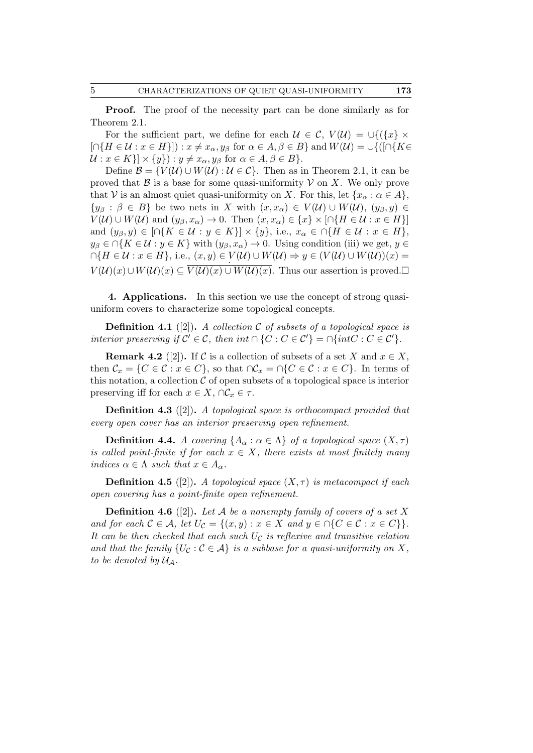Proof. The proof of the necessity part can be done similarly as for Theorem 2.1.

For the sufficient part, we define for each  $\mathcal{U} \in \mathcal{C}$ ,  $V(\mathcal{U}) = \bigcup \{ \{x\} \times$  $[\bigcap\{H \in \mathcal{U} : x \in H\}]\big): x \neq x_\alpha, y_\beta \text{ for } \alpha \in A, \beta \in B\}$  and  $W(\mathcal{U}) = \bigcup \{([\bigcap\{K \in A\}]) : x \neq x_\alpha, y_\beta \text{ for } \alpha \in A, \beta \in B\}$  $\mathcal{U}: x \in K \} \times \{y\} : y \neq x_\alpha, y_\beta \text{ for } \alpha \in A, \beta \in B \}.$ 

Define  $\mathcal{B} = \{V(\mathcal{U}) \cup W(\mathcal{U}) : \mathcal{U} \in \mathcal{C}\}\$ . Then as in Theorem 2.1, it can be proved that  $\beta$  is a base for some quasi-uniformity  $\mathcal V$  on X. We only prove that V is an almost quiet quasi-uniformity on X. For this, let  $\{x_\alpha : \alpha \in A\}$ ,  $\{y_\beta : \beta \in B\}$  be two nets in X with  $(x, x_\alpha) \in V(U) \cup W(U), (y_\beta, y) \in$  $V(\mathcal{U}) \cup W(\mathcal{U})$  and  $(y_{\beta}, x_{\alpha}) \to 0$ . Then  $(x, x_{\alpha}) \in \{x\} \times [\cap \{H \in \mathcal{U} : x \in H\}]$ and  $(y_{\beta}, y) \in \bigcap \{K \in \mathcal{U} : y \in K\}\big] \times \{y\}, \text{ i.e., } x_{\alpha} \in \bigcap \{H \in \mathcal{U} : x \in H\},\$  $y_{\beta} \in \bigcap \{K \in \mathcal{U} : y \in K\}$  with  $(y_{\beta}, x_{\alpha}) \to 0$ . Using condition (iii) we get,  $y \in$  $\bigcap \{H \in \mathcal{U} : x \in H\}, \text{ i.e., } (x, y) \in V(\mathcal{U}) \cup W(\mathcal{U}) \Rightarrow y \in (V(\mathcal{U}) \cup W(\mathcal{U}))(x) = 0\}$  $V(\mathcal{U})(x) \cup W(\mathcal{U})(x) \subseteq \overline{V(\mathcal{U})(x) \cup W(\mathcal{U})(x)}$ . Thus our assertion is proved.

4. Applications. In this section we use the concept of strong quasiuniform covers to characterize some topological concepts.

**Definition 4.1** ([2]). A collection C of subsets of a topological space is interior preserving if  $C' \in \mathcal{C}$ , then int  $\cap \{C : C \in \mathcal{C}'\} = \cap \{int C : C \in \mathcal{C}'\}.$ 

**Remark 4.2** ([2]). If C is a collection of subsets of a set X and  $x \in X$ , then  $\mathcal{C}_x = \{C \in \mathcal{C} : x \in C\}$ , so that  $\cap \mathcal{C}_x = \cap \{C \in \mathcal{C} : x \in C\}$ . In terms of this notation, a collection  $\mathcal C$  of open subsets of a topological space is interior preserving iff for each  $x \in X$ ,  $\cap \mathcal{C}_x \in \tau$ .

Definition 4.3 ([2]). A topological space is orthocompact provided that every open cover has an interior preserving open refinement.

**Definition 4.4.** A covering  $\{A_{\alpha} : \alpha \in \Lambda\}$  of a topological space  $(X, \tau)$ is called point-finite if for each  $x \in X$ , there exists at most finitely many indices  $\alpha \in \Lambda$  such that  $x \in A_{\alpha}$ .

**Definition 4.5** ([2]). A topological space  $(X, \tau)$  is metacompact if each open covering has a point-finite open refinement.

**Definition 4.6** ([2]). Let A be a nonempty family of covers of a set X and for each  $C \in \mathcal{A}$ , let  $U_C = \{(x, y) : x \in X \text{ and } y \in \cap \{C \in \mathcal{C} : x \in C\}\}.$ It can be then checked that each such  $U_c$  is reflexive and transitive relation and that the family  $\{U_{\mathcal{C}} : \mathcal{C} \in \mathcal{A}\}\$ is a subbase for a quasi-uniformity on X, to be denoted by  $\mathcal{U}_\mathcal{A}$ .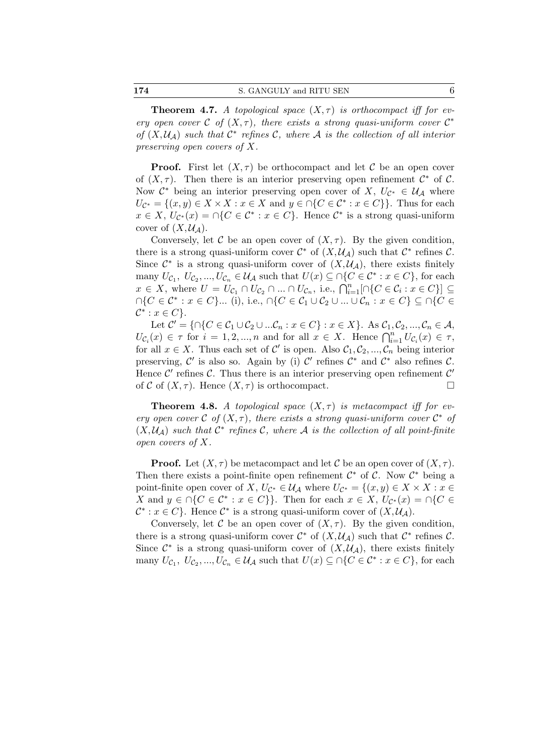174 S. GANGULY and RITU SEN 6

**Theorem 4.7.** A topological space  $(X, \tau)$  is orthocompact iff for every open cover  $C$  of  $(X, \tau)$ , there exists a strong quasi-uniform cover  $C^*$ of  $(X, \mathcal{U}_\mathcal{A})$  such that  $\mathcal{C}^*$  refines  $\mathcal{C}$ , where  $\mathcal{A}$  is the collection of all interior preserving open covers of X.

**Proof.** First let  $(X, \tau)$  be orthocompact and let C be an open cover of  $(X, \tau)$ . Then there is an interior preserving open refinement  $\mathcal{C}^*$  of  $\mathcal{C}$ . Now  $\mathcal{C}^*$  being an interior preserving open cover of X,  $U_{\mathcal{C}^*} \in \mathcal{U}_{\mathcal{A}}$  where  $U_{\mathcal{C}^*} = \{(x, y) \in X \times X : x \in X \text{ and } y \in \cap \{C \in \mathcal{C}^* : x \in C\}\}.$  Thus for each  $x \in X, U_{\mathcal{C}^*}(x) = \bigcap \{C \in \mathcal{C}^* : x \in C\}.$  Hence  $\mathcal{C}^*$  is a strong quasi-uniform cover of  $(X, \mathcal{U}_\mathcal{A})$ .

Conversely, let C be an open cover of  $(X, \tau)$ . By the given condition, there is a strong quasi-uniform cover  $\mathcal{C}^*$  of  $(X, \mathcal{U}_\mathcal{A})$  such that  $\mathcal{C}^*$  refines  $\mathcal{C}$ . Since  $\mathcal{C}^*$  is a strong quasi-uniform cover of  $(X, \mathcal{U}_\mathcal{A})$ , there exists finitely many  $U_{\mathcal{C}_1}, U_{\mathcal{C}_2},..., U_{\mathcal{C}_n} \in \mathcal{U}_{\mathcal{A}}$  such that  $U(x) \subseteq \bigcap \{C \in \mathcal{C}^* : x \in C\}$ , for each  $x \in X$ , where  $U = U_{\mathcal{C}_1} \cap U_{\mathcal{C}_2} \cap ... \cap U_{\mathcal{C}_n}$ , i.e.,  $\bigcap_{i=1}^n [\cap \{C \in \mathcal{C}_i : x \in C\}] \subseteq$  $\cap\{C\in\mathcal{C}^*:x\in C\}\dots$  (i), i.e.,  $\cap\{C\in\mathcal{C}_1\cup\mathcal{C}_2\cup\ldots\cup\mathcal{C}_n:x\in C\}\subseteq\cap\{C\in\mathcal{C}_1\}$  $\mathcal{C}^*$  :  $x \in C$ .

Let  $\mathcal{C}' = \{ \cap \{C \in \mathcal{C}_1 \cup \mathcal{C}_2 \cup ... \mathcal{C}_n : x \in C\} : x \in X \}$ . As  $\mathcal{C}_1, \mathcal{C}_2, ..., \mathcal{C}_n \in \mathcal{A}$ ,  $U_{\mathcal{C}_i}(x) \in \tau$  for  $i = 1, 2, ..., n$  and for all  $x \in X$ . Hence  $\bigcap_{i=1}^n U_{\mathcal{C}_i}(x) \in \tau$ , for all  $x \in X$ . Thus each set of C' is open. Also  $C_1, C_2, ..., C_n$  being interior preserving,  $\mathcal{C}'$  is also so. Again by (i)  $\mathcal{C}'$  refines  $\mathcal{C}^*$  and  $\mathcal{C}^*$  also refines  $\mathcal{C}$ . Hence  $\mathcal{C}'$  refines  $\mathcal{C}$ . Thus there is an interior preserving open refinement  $\mathcal{C}'$ of C of  $(X, \tau)$ . Hence  $(X, \tau)$  is orthocompact.

**Theorem 4.8.** A topological space  $(X, \tau)$  is metacompact iff for every open cover  $C$  of  $(X, \tau)$ , there exists a strong quasi-uniform cover  $C^*$  of  $(X, \mathcal{U}_{\mathcal{A}})$  such that  $\mathcal{C}^*$  refines  $\mathcal{C}$ , where  $\mathcal{A}$  is the collection of all point-finite open covers of X.

**Proof.** Let  $(X, \tau)$  be metacompact and let C be an open cover of  $(X, \tau)$ . Then there exists a point-finite open refinement  $\mathcal{C}^*$  of  $\mathcal{C}$ . Now  $\mathcal{C}^*$  being a point-finite open cover of X,  $U_{\mathcal{C}^*} \in \mathcal{U}_{\mathcal{A}}$  where  $U_{\mathcal{C}^*} = \{(x, y) \in X \times X : x \in$ X and  $y \in \bigcap \{C \in \mathcal{C}^* : x \in C\}\}\.$  Then for each  $x \in X$ ,  $U_{\mathcal{C}^*}(x) = \bigcap \{C \in \mathcal{C}^* : x \in C\}\}\.$  $\mathcal{C}^* : x \in C$ . Hence  $\mathcal{C}^*$  is a strong quasi-uniform cover of  $(X, \mathcal{U}_\mathcal{A})$ .

Conversely, let C be an open cover of  $(X, \tau)$ . By the given condition, there is a strong quasi-uniform cover  $\mathcal{C}^*$  of  $(X, \mathcal{U}_\mathcal{A})$  such that  $\mathcal{C}^*$  refines  $\mathcal{C}$ . Since  $\mathcal{C}^*$  is a strong quasi-uniform cover of  $(X, \mathcal{U}_{\mathcal{A}})$ , there exists finitely many  $U_{\mathcal{C}_1}, U_{\mathcal{C}_2},..., U_{\mathcal{C}_n} \in \mathcal{U}_{\mathcal{A}}$  such that  $U(x) \subseteq \bigcap \{C \in \mathcal{C}^* : x \in C\}$ , for each